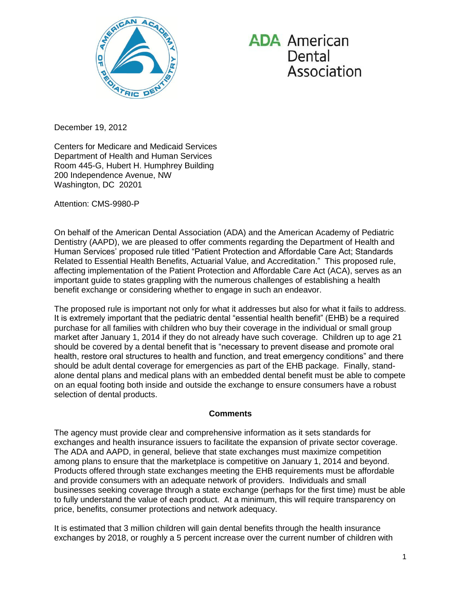

**ADA** American Dental Association

December 19, 2012

Centers for Medicare and Medicaid Services Department of Health and Human Services Room 445-G, Hubert H. Humphrey Building 200 Independence Avenue, NW Washington, DC 20201

Attention: CMS-9980-P

On behalf of the American Dental Association (ADA) and the American Academy of Pediatric Dentistry (AAPD), we are pleased to offer comments regarding the Department of Health and Human Services' proposed rule titled "Patient Protection and Affordable Care Act; Standards Related to Essential Health Benefits, Actuarial Value, and Accreditation." This proposed rule, affecting implementation of the Patient Protection and Affordable Care Act (ACA), serves as an important guide to states grappling with the numerous challenges of establishing a health benefit exchange or considering whether to engage in such an endeavor.

The proposed rule is important not only for what it addresses but also for what it fails to address. It is extremely important that the pediatric dental "essential health benefit" (EHB) be a required purchase for all families with children who buy their coverage in the individual or small group market after January 1, 2014 if they do not already have such coverage. Children up to age 21 should be covered by a dental benefit that is "necessary to prevent disease and promote oral health, restore oral structures to health and function, and treat emergency conditions" and there should be adult dental coverage for emergencies as part of the EHB package. Finally, standalone dental plans and medical plans with an embedded dental benefit must be able to compete on an equal footing both inside and outside the exchange to ensure consumers have a robust selection of dental products.

#### **Comments**

The agency must provide clear and comprehensive information as it sets standards for exchanges and health insurance issuers to facilitate the expansion of private sector coverage. The ADA and AAPD, in general, believe that state exchanges must maximize competition among plans to ensure that the marketplace is competitive on January 1, 2014 and beyond. Products offered through state exchanges meeting the EHB requirements must be affordable and provide consumers with an adequate network of providers. Individuals and small businesses seeking coverage through a state exchange (perhaps for the first time) must be able to fully understand the value of each product. At a minimum, this will require transparency on price, benefits, consumer protections and network adequacy.

It is estimated that 3 million children will gain dental benefits through the health insurance exchanges by 2018, or roughly a 5 percent increase over the current number of children with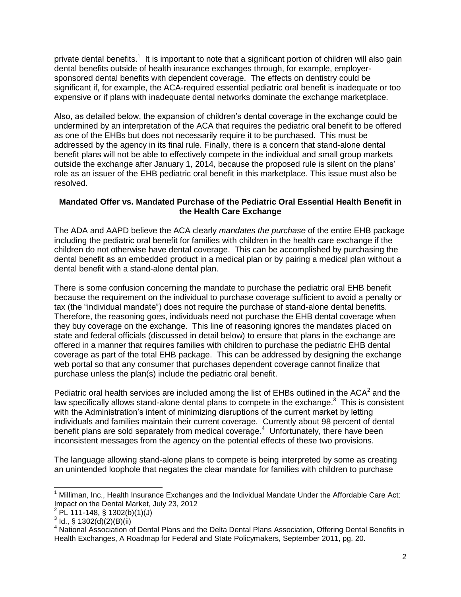private dental benefits.<sup>1</sup> It is important to note that a significant portion of children will also gain dental benefits outside of health insurance exchanges through, for example, employersponsored dental benefits with dependent coverage. The effects on dentistry could be significant if, for example, the ACA-required essential pediatric oral benefit is inadequate or too expensive or if plans with inadequate dental networks dominate the exchange marketplace.

Also, as detailed below, the expansion of children's dental coverage in the exchange could be undermined by an interpretation of the ACA that requires the pediatric oral benefit to be offered as one of the EHBs but does not necessarily require it to be purchased. This must be addressed by the agency in its final rule. Finally, there is a concern that stand-alone dental benefit plans will not be able to effectively compete in the individual and small group markets outside the exchange after January 1, 2014, because the proposed rule is silent on the plans' role as an issuer of the EHB pediatric oral benefit in this marketplace. This issue must also be resolved.

## **Mandated Offer vs. Mandated Purchase of the Pediatric Oral Essential Health Benefit in the Health Care Exchange**

The ADA and AAPD believe the ACA clearly *mandates the purchase* of the entire EHB package including the pediatric oral benefit for families with children in the health care exchange if the children do not otherwise have dental coverage. This can be accomplished by purchasing the dental benefit as an embedded product in a medical plan or by pairing a medical plan without a dental benefit with a stand-alone dental plan.

There is some confusion concerning the mandate to purchase the pediatric oral EHB benefit because the requirement on the individual to purchase coverage sufficient to avoid a penalty or tax (the "individual mandate") does not require the purchase of stand-alone dental benefits. Therefore, the reasoning goes, individuals need not purchase the EHB dental coverage when they buy coverage on the exchange. This line of reasoning ignores the mandates placed on state and federal officials (discussed in detail below) to ensure that plans in the exchange are offered in a manner that requires families with children to purchase the pediatric EHB dental coverage as part of the total EHB package. This can be addressed by designing the exchange web portal so that any consumer that purchases dependent coverage cannot finalize that purchase unless the plan(s) include the pediatric oral benefit.

Pediatric oral health services are included among the list of EHBs outlined in the ACA<sup>2</sup> and the law specifically allows stand-alone dental plans to compete in the exchange. $3$  This is consistent with the Administration's intent of minimizing disruptions of the current market by letting individuals and families maintain their current coverage. Currently about 98 percent of dental benefit plans are sold separately from medical coverage.<sup>4</sup> Unfortunately, there have been inconsistent messages from the agency on the potential effects of these two provisions.

The language allowing stand-alone plans to compete is being interpreted by some as creating an unintended loophole that negates the clear mandate for families with children to purchase

j

 $<sup>1</sup>$  Milliman, Inc., Health Insurance Exchanges and the Individual Mandate Under the Affordable Care Act:</sup> Impact on the Dental Market, July 23, 2012

 $^{2}$  PL 111-148, § 1302(b)(1)(J)

 $3$  ld., § 1302(d)(2)(B)(ii)

A tail, 3 Nobel  $\langle 1, 2, 1, 3 \rangle$ Health Exchanges, A Roadmap for Federal and State Policymakers, September 2011, pg. 20.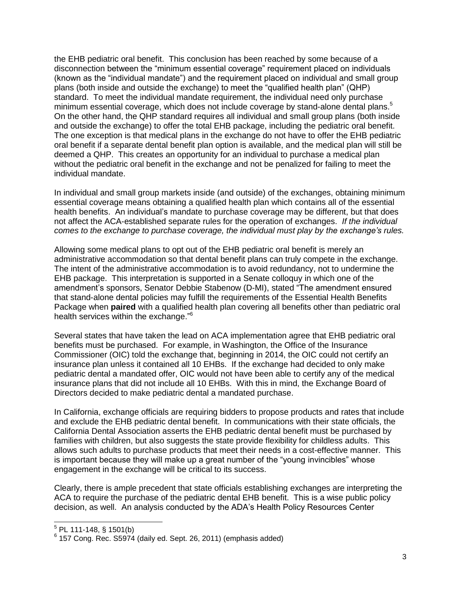the EHB pediatric oral benefit. This conclusion has been reached by some because of a disconnection between the "minimum essential coverage" requirement placed on individuals (known as the "individual mandate") and the requirement placed on individual and small group plans (both inside and outside the exchange) to meet the "qualified health plan" (QHP) standard. To meet the individual mandate requirement, the individual need only purchase minimum essential coverage, which does not include coverage by stand-alone dental plans.<sup>5</sup> On the other hand, the QHP standard requires all individual and small group plans (both inside and outside the exchange) to offer the total EHB package, including the pediatric oral benefit. The one exception is that medical plans in the exchange do not have to offer the EHB pediatric oral benefit if a separate dental benefit plan option is available, and the medical plan will still be deemed a QHP. This creates an opportunity for an individual to purchase a medical plan without the pediatric oral benefit in the exchange and not be penalized for failing to meet the individual mandate.

In individual and small group markets inside (and outside) of the exchanges, obtaining minimum essential coverage means obtaining a qualified health plan which contains all of the essential health benefits. An individual's mandate to purchase coverage may be different, but that does not affect the ACA-established separate rules for the operation of exchanges. *If the individual comes to the exchange to purchase coverage, the individual must play by the exchange's rules.*

Allowing some medical plans to opt out of the EHB pediatric oral benefit is merely an administrative accommodation so that dental benefit plans can truly compete in the exchange. The intent of the administrative accommodation is to avoid redundancy, not to undermine the EHB package. This interpretation is supported in a Senate colloquy in which one of the amendment's sponsors, Senator Debbie Stabenow (D-MI), stated "The amendment ensured that stand-alone dental policies may fulfill the requirements of the Essential Health Benefits Package when **paired** with a qualified health plan covering all benefits other than pediatric oral health services within the exchange."<sup>6</sup>

Several states that have taken the lead on ACA implementation agree that EHB pediatric oral benefits must be purchased. For example, in Washington, the Office of the Insurance Commissioner (OIC) told the exchange that, beginning in 2014, the OIC could not certify an insurance plan unless it contained all 10 EHBs. If the exchange had decided to only make pediatric dental a mandated offer, OIC would not have been able to certify any of the medical insurance plans that did not include all 10 EHBs. With this in mind, the Exchange Board of Directors decided to make pediatric dental a mandated purchase.

In California, exchange officials are requiring bidders to propose products and rates that include and exclude the EHB pediatric dental benefit. In communications with their state officials, the California Dental Association asserts the EHB pediatric dental benefit must be purchased by families with children, but also suggests the state provide flexibility for childless adults. This allows such adults to purchase products that meet their needs in a cost-effective manner. This is important because they will make up a great number of the "young invincibles" whose engagement in the exchange will be critical to its success.

Clearly, there is ample precedent that state officials establishing exchanges are interpreting the ACA to require the purchase of the pediatric dental EHB benefit. This is a wise public policy decision, as well. An analysis conducted by the ADA's Health Policy Resources Center

l

 $5$  PL 111-148, § 1501(b)

 $6$  157 Cong. Rec. S5974 (daily ed. Sept. 26, 2011) (emphasis added)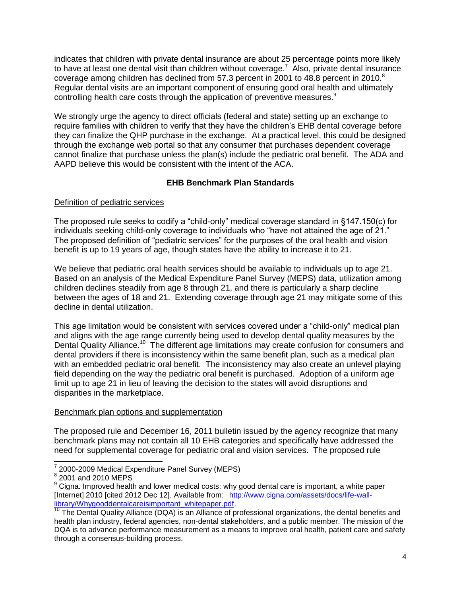indicates that children with private dental insurance are about 25 percentage points more likely to have at least one dental visit than children without coverage.<sup>7</sup> Also, private dental insurance coverage among children has declined from 57.3 percent in 2001 to 48.8 percent in 2010.<sup>8</sup> Regular dental visits are an important component of ensuring good oral health and ultimately controlling health care costs through the application of preventive measures.<sup>9</sup>

We strongly urge the agency to direct officials (federal and state) setting up an exchange to require families with children to verify that they have the children's EHB dental coverage before they can finalize the QHP purchase in the exchange. At a practical level, this could be designed through the exchange web portal so that any consumer that purchases dependent coverage cannot finalize that purchase unless the plan(s) include the pediatric oral benefit. The ADA and AAPD believe this would be consistent with the intent of the ACA.

# **EHB Benchmark Plan Standards**

## Definition of pediatric services

The proposed rule seeks to codify a "child-only" medical coverage standard in §147.150(c) for individuals seeking child-only coverage to individuals who "have not attained the age of 21." The proposed definition of "pediatric services" for the purposes of the oral health and vision benefit is up to 19 years of age, though states have the ability to increase it to 21.

We believe that pediatric oral health services should be available to individuals up to age 21. Based on an analysis of the Medical Expenditure Panel Survey (MEPS) data, utilization among children declines steadily from age 8 through 21, and there is particularly a sharp decline between the ages of 18 and 21. Extending coverage through age 21 may mitigate some of this decline in dental utilization.

This age limitation would be consistent with services covered under a "child-only" medical plan and aligns with the age range currently being used to develop dental quality measures by the Dental Quality Alliance.<sup>10</sup> The different age limitations may create confusion for consumers and dental providers if there is inconsistency within the same benefit plan, such as a medical plan with an embedded pediatric oral benefit. The inconsistency may also create an unlevel playing field depending on the way the pediatric oral benefit is purchased. Adoption of a uniform age limit up to age 21 in lieu of leaving the decision to the states will avoid disruptions and disparities in the marketplace.

### Benchmark plan options and supplementation

The proposed rule and December 16, 2011 bulletin issued by the agency recognize that many benchmark plans may not contain all 10 EHB categories and specifically have addressed the need for supplemental coverage for pediatric oral and vision services. The proposed rule

 7 2000-2009 Medical Expenditure Panel Survey (MEPS)

<sup>&</sup>lt;sup>8</sup> 2001 and 2010 MEPS

<sup>&</sup>lt;sup>9</sup> Cigna. Improved health and lower medical costs: why good dental care is important, a white paper [Internet] 2010 [cited 2012 Dec 12]. Available from: [http://www.cigna.com/assets/docs/life-wall](http://www.cigna.com/assets/docs/life-wall-library/Whygooddentalcareisimportant_whitepaper.pdf)[library/Whygooddentalcareisimportant\\_whitepaper.pdf.](http://www.cigna.com/assets/docs/life-wall-library/Whygooddentalcareisimportant_whitepaper.pdf)

<sup>&</sup>lt;sup>10</sup> The Dental Quality Alliance (DQA) is an Alliance of professional organizations, the dental benefits and health plan industry, federal agencies, non-dental stakeholders, and a public member. The mission of the DQA is to advance performance measurement as a means to improve oral health, patient care and safety through a consensus-building process.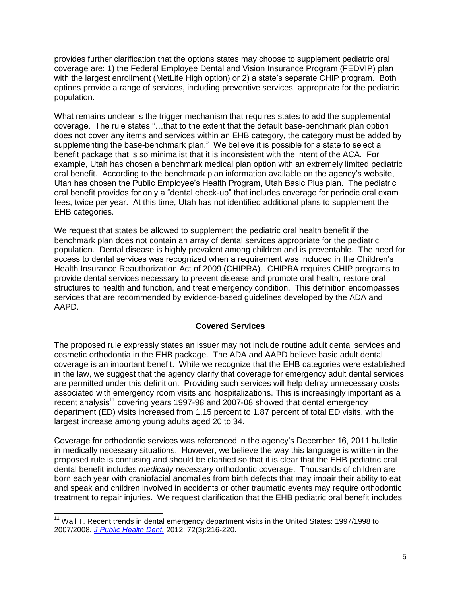provides further clarification that the options states may choose to supplement pediatric oral coverage are: 1) the Federal Employee Dental and Vision Insurance Program (FEDVIP) plan with the largest enrollment (MetLife High option) or 2) a state's separate CHIP program. Both options provide a range of services, including preventive services, appropriate for the pediatric population.

What remains unclear is the trigger mechanism that requires states to add the supplemental coverage. The rule states "…that to the extent that the default base-benchmark plan option does not cover any items and services within an EHB category, the category must be added by supplementing the base-benchmark plan." We believe it is possible for a state to select a benefit package that is so minimalist that it is inconsistent with the intent of the ACA. For example, Utah has chosen a benchmark medical plan option with an extremely limited pediatric oral benefit. According to the benchmark plan information available on the agency's website, Utah has chosen the Public Employee's Health Program, Utah Basic Plus plan. The pediatric oral benefit provides for only a "dental check-up" that includes coverage for periodic oral exam fees, twice per year. At this time, Utah has not identified additional plans to supplement the EHB categories.

We request that states be allowed to supplement the pediatric oral health benefit if the benchmark plan does not contain an array of dental services appropriate for the pediatric population. Dental disease is highly prevalent among children and is preventable. The need for access to dental services was recognized when a requirement was included in the Children's Health Insurance Reauthorization Act of 2009 (CHIPRA). CHIPRA requires CHIP programs to provide dental services necessary to prevent disease and promote oral health, restore oral structures to health and function, and treat emergency condition. This definition encompasses services that are recommended by evidence-based guidelines developed by the ADA and AAPD.

### **Covered Services**

The proposed rule expressly states an issuer may not include routine adult dental services and cosmetic orthodontia in the EHB package. The ADA and AAPD believe basic adult dental coverage is an important benefit. While we recognize that the EHB categories were established in the law, we suggest that the agency clarify that coverage for emergency adult dental services are permitted under this definition. Providing such services will help defray unnecessary costs associated with emergency room visits and hospitalizations. This is increasingly important as a recent analysis<sup>11</sup> covering years 1997-98 and 2007-08 showed that dental emergency department (ED) visits increased from 1.15 percent to 1.87 percent of total ED visits, with the largest increase among young adults aged 20 to 34.

Coverage for orthodontic services was referenced in the agency's December 16, 2011 bulletin in medically necessary situations. However, we believe the way this language is written in the proposed rule is confusing and should be clarified so that it is clear that the EHB pediatric oral dental benefit includes *medically necessary* orthodontic coverage. Thousands of children are born each year with craniofacial anomalies from birth defects that may impair their ability to eat and speak and children involved in accidents or other traumatic events may require orthodontic treatment to repair injuries. We request clarification that the EHB pediatric oral benefit includes

l

<sup>&</sup>lt;sup>11</sup> Wall T. Recent trends in dental emergency department visits in the United States: 1997/1998 to 2007/2008. *[J Public Health Dent.](http://www.ncbi.nlm.nih.gov/pubmed?term=Recent%20trends%20in%20dental%20emergency%20department%20visits%20in%20the%20United%20States)* 2012; 72(3):216-220.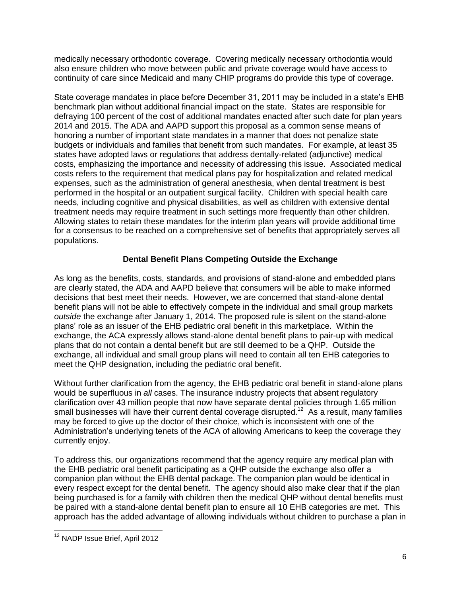medically necessary orthodontic coverage. Covering medically necessary orthodontia would also ensure children who move between public and private coverage would have access to continuity of care since Medicaid and many CHIP programs do provide this type of coverage.

State coverage mandates in place before December 31, 2011 may be included in a state's EHB benchmark plan without additional financial impact on the state. States are responsible for defraying 100 percent of the cost of additional mandates enacted after such date for plan years 2014 and 2015. The ADA and AAPD support this proposal as a common sense means of honoring a number of important state mandates in a manner that does not penalize state budgets or individuals and families that benefit from such mandates. For example, at least 35 states have adopted laws or regulations that address dentally-related (adjunctive) medical costs, emphasizing the importance and necessity of addressing this issue. Associated medical costs refers to the requirement that medical plans pay for hospitalization and related medical expenses, such as the administration of general anesthesia, when dental treatment is best performed in the hospital or an outpatient surgical facility. Children with special health care needs, including cognitive and physical disabilities, as well as children with extensive dental treatment needs may require treatment in such settings more frequently than other children. Allowing states to retain these mandates for the interim plan years will provide additional time for a consensus to be reached on a comprehensive set of benefits that appropriately serves all populations.

# **Dental Benefit Plans Competing Outside the Exchange**

As long as the benefits, costs, standards, and provisions of stand-alone and embedded plans are clearly stated, the ADA and AAPD believe that consumers will be able to make informed decisions that best meet their needs. However, we are concerned that stand-alone dental benefit plans will not be able to effectively compete in the individual and small group markets *outside* the exchange after January 1, 2014. The proposed rule is silent on the stand-alone plans' role as an issuer of the EHB pediatric oral benefit in this marketplace. Within the exchange, the ACA expressly allows stand-alone dental benefit plans to pair-up with medical plans that do not contain a dental benefit but are still deemed to be a QHP. Outside the exchange, all individual and small group plans will need to contain all ten EHB categories to meet the QHP designation, including the pediatric oral benefit.

Without further clarification from the agency, the EHB pediatric oral benefit in stand-alone plans would be superfluous in *all* cases. The insurance industry projects that absent regulatory clarification over 43 million people that now have separate dental policies through 1.65 million small businesses will have their current dental coverage disrupted.<sup>12</sup> As a result, many families may be forced to give up the doctor of their choice, which is inconsistent with one of the Administration's underlying tenets of the ACA of allowing Americans to keep the coverage they currently enjoy.

To address this, our organizations recommend that the agency require any medical plan with the EHB pediatric oral benefit participating as a QHP outside the exchange also offer a companion plan without the EHB dental package. The companion plan would be identical in every respect except for the dental benefit. The agency should also make clear that if the plan being purchased is for a family with children then the medical QHP without dental benefits must be paired with a stand-alone dental benefit plan to ensure all 10 EHB categories are met. This approach has the added advantage of allowing individuals without children to purchase a plan in

l <sup>12</sup> NADP Issue Brief, April 2012